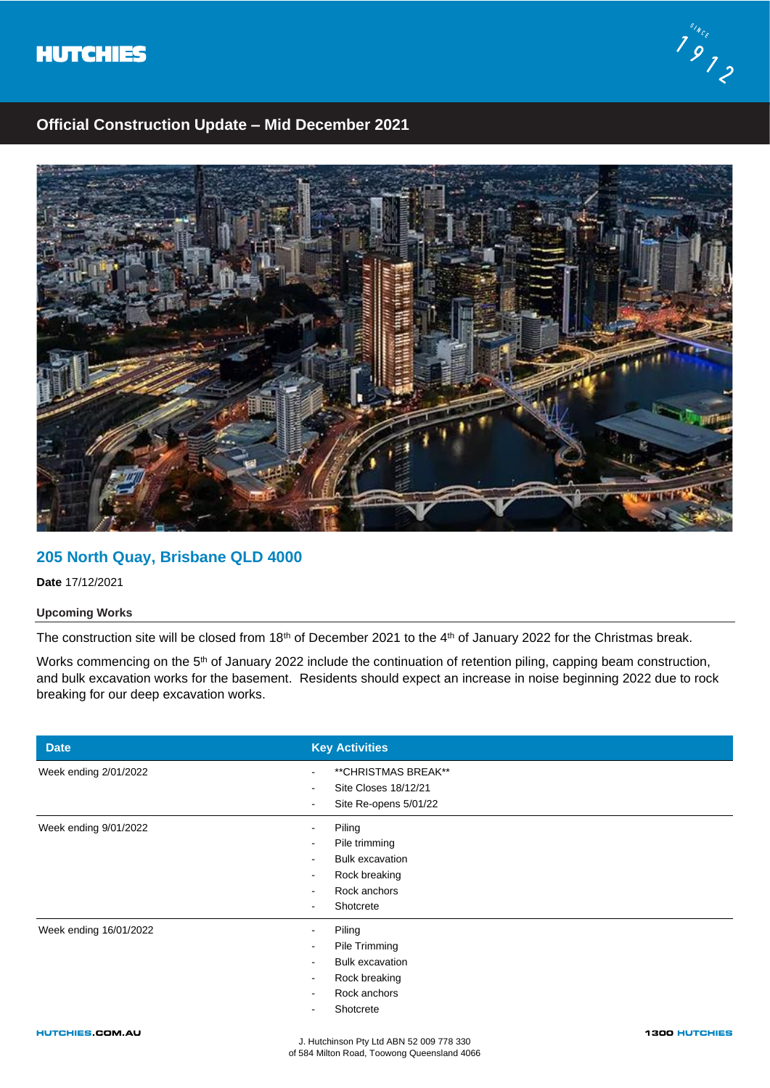



# **Official Construction Update – Mid December 2021**



# **205 North Quay, Brisbane QLD 4000**

**Date** 17/12/2021

## **Upcoming Works**

The construction site will be closed from 18<sup>th</sup> of December 2021 to the 4<sup>th</sup> of January 2022 for the Christmas break.

Works commencing on the 5<sup>th</sup> of January 2022 include the continuation of retention piling, capping beam construction, and bulk excavation works for the basement. Residents should expect an increase in noise beginning 2022 due to rock breaking for our deep excavation works.

| <b>Date</b>            | <b>Key Activities</b>                                                                                                                                        |
|------------------------|--------------------------------------------------------------------------------------------------------------------------------------------------------------|
| Week ending 2/01/2022  | ** CHRISTMAS BREAK**<br>Site Closes 18/12/21<br>Site Re-opens 5/01/22<br>٠                                                                                   |
| Week ending 9/01/2022  | Piling<br>۰<br>Pile trimming<br><b>Bulk excavation</b><br>$\overline{\phantom{a}}$<br>Rock breaking<br>$\overline{\phantom{a}}$<br>Rock anchors<br>Shotcrete |
| Week ending 16/01/2022 | Piling<br>Pile Trimming<br><b>Bulk excavation</b><br>Rock breaking<br>Rock anchors<br>Shotcrete                                                              |